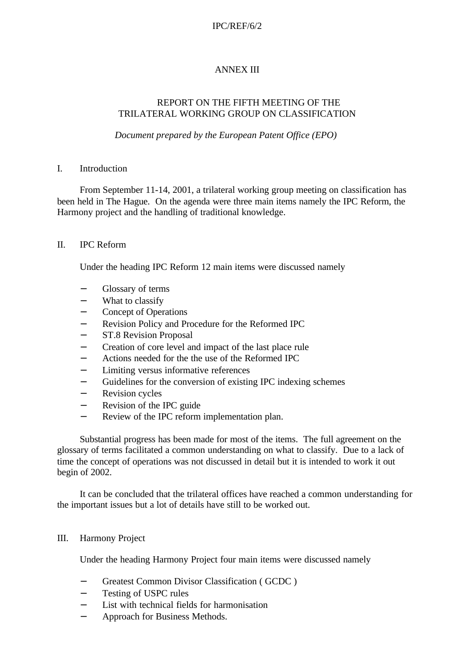# IPC/REF/6/2

## ANNEX III

# REPORT ON THE FIFTH MEETING OF THE TRILATERAL WORKING GROUP ON CLASSIFICATION

### *Document prepared by the European Patent Office (EPO)*

### I. Introduction

From September 11-14, 2001, a trilateral working group meeting on classification has been held in The Hague. On the agenda were three main items namely the IPC Reform, the Harmony project and the handling of traditional knowledge.

### II. IPC Reform

Under the heading IPC Reform 12 main items were discussed namely

- − Glossary of terms
- What to classify
- Concept of Operations
- − Revision Policy and Procedure for the Reformed IPC
- − ST.8 Revision Proposal
- − Creation of core level and impact of the last place rule
- − Actions needed for the the use of the Reformed IPC
- − Limiting versus informative references
- Guidelines for the conversion of existing IPC indexing schemes
- − Revision cycles
- − Revision of the IPC guide
- − Review of the IPC reform implementation plan.

Substantial progress has been made for most of the items. The full agreement on the glossary of terms facilitated a common understanding on what to classify. Due to a lack of time the concept of operations was not discussed in detail but it is intended to work it out begin of 2002.

It can be concluded that the trilateral offices have reached a common understanding for the important issues but a lot of details have still to be worked out.

### III. Harmony Project

Under the heading Harmony Project four main items were discussed namely

- − Greatest Common Divisor Classification ( GCDC )
- − Testing of USPC rules
- List with technical fields for harmonisation
- − Approach for Business Methods.